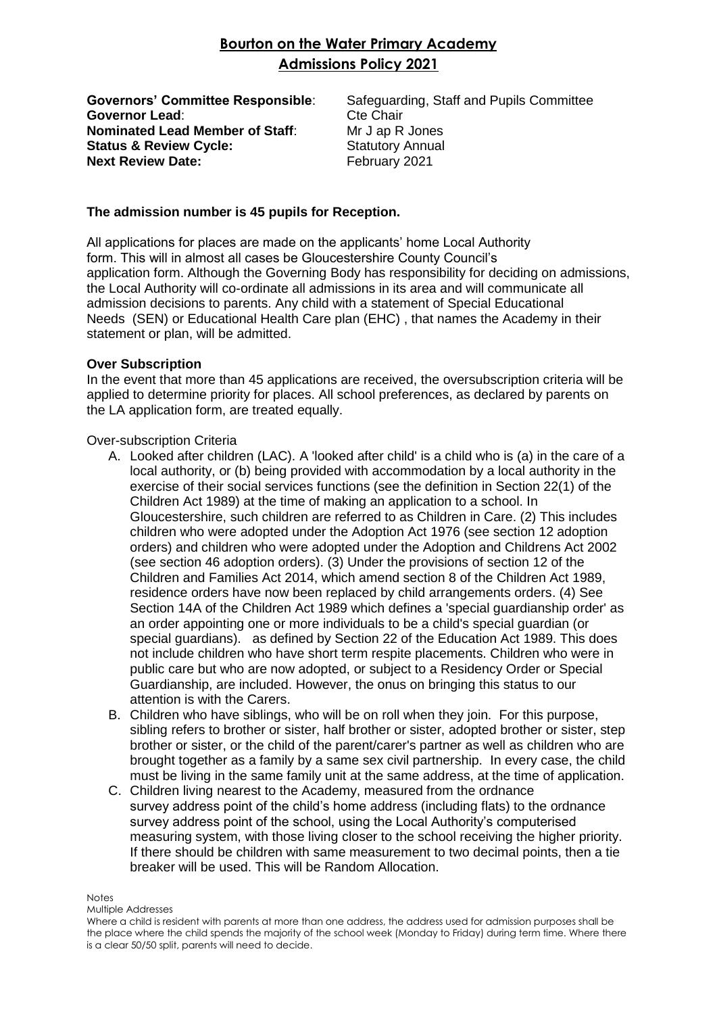# **Bourton on the Water Primary Academy Admissions Policy 2021**

**Governor Lead:** Cte Chair **Nominated Lead Member of Staff:** Mr J ap R Jones **Status & Review Cycle:** Statutory Annual **Next Review Date:** February 2021

**Governors' Committee Responsible**: Safeguarding, Staff and Pupils Committee

### **The admission number is 45 pupils for Reception.**

All applications for places are made on the applicants' home Local Authority form. This will in almost all cases be Gloucestershire County Council's application form. Although the Governing Body has responsibility for deciding on admissions, the Local Authority will co-ordinate all admissions in its area and will communicate all admission decisions to parents. Any child with a statement of Special Educational Needs (SEN) or Educational Health Care plan (EHC) , that names the Academy in their statement or plan, will be admitted.

#### **Over Subscription**

In the event that more than 45 applications are received, the oversubscription criteria will be applied to determine priority for places. All school preferences, as declared by parents on the LA application form, are treated equally.

Over-subscription Criteria

- A. Looked after children (LAC). A 'looked after child' is a child who is (a) in the care of a local authority, or (b) being provided with accommodation by a local authority in the exercise of their social services functions (see the definition in Section 22(1) of the Children Act 1989) at the time of making an application to a school. In Gloucestershire, such children are referred to as Children in Care. (2) This includes children who were adopted under the Adoption Act 1976 (see section 12 adoption orders) and children who were adopted under the Adoption and Childrens Act 2002 (see section 46 adoption orders). (3) Under the provisions of section 12 of the Children and Families Act 2014, which amend section 8 of the Children Act 1989, residence orders have now been replaced by child arrangements orders. (4) See Section 14A of the Children Act 1989 which defines a 'special guardianship order' as an order appointing one or more individuals to be a child's special guardian (or special guardians). as defined by Section 22 of the Education Act 1989. This does not include children who have short term respite placements. Children who were in public care but who are now adopted, or subject to a Residency Order or Special Guardianship, are included. However, the onus on bringing this status to our attention is with the Carers.
- B. Children who have siblings, who will be on roll when they join. For this purpose, sibling refers to brother or sister, half brother or sister, adopted brother or sister, step brother or sister, or the child of the parent/carer's partner as well as children who are brought together as a family by a same sex civil partnership. In every case, the child must be living in the same family unit at the same address, at the time of application.
- C. Children living nearest to the Academy, measured from the ordnance survey address point of the child's home address (including flats) to the ordnance survey address point of the school, using the Local Authority's computerised measuring system, with those living closer to the school receiving the higher priority. If there should be children with same measurement to two decimal points, then a tie breaker will be used. This will be Random Allocation.

#### **Notes**

Multiple Addresses

Where a child is resident with parents at more than one address, the address used for admission purposes shall be the place where the child spends the majority of the school week (Monday to Friday) during term time. Where there is a clear 50/50 split, parents will need to decide.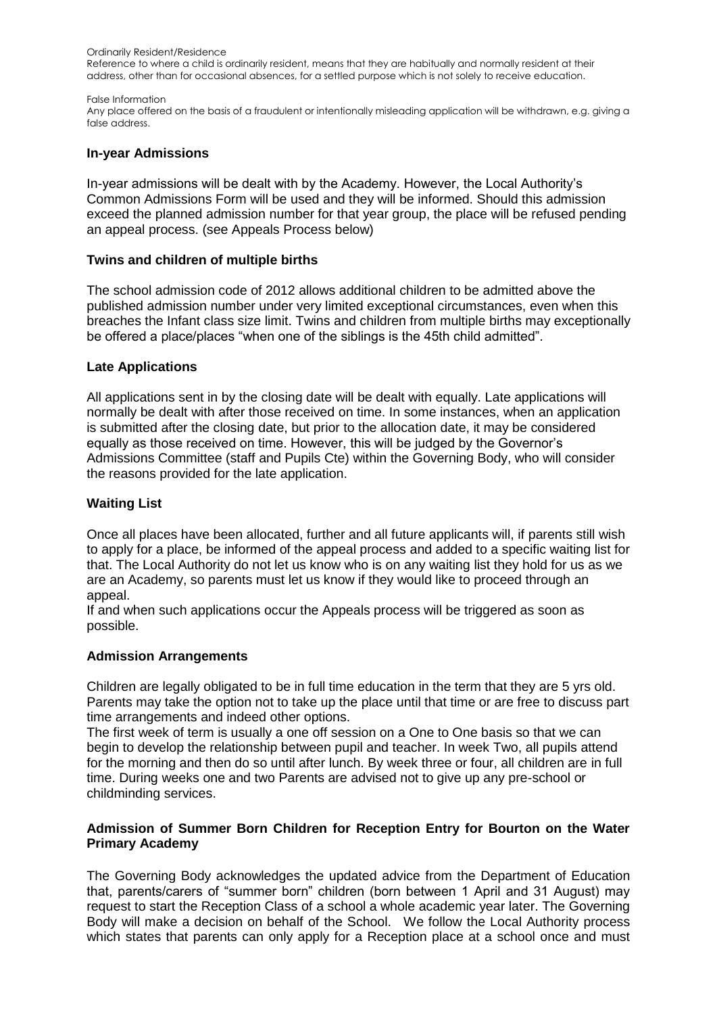Ordinarily Resident/Residence

Reference to where a child is ordinarily resident, means that they are habitually and normally resident at their address, other than for occasional absences, for a settled purpose which is not solely to receive education.

#### False Information

Any place offered on the basis of a fraudulent or intentionally misleading application will be withdrawn, e.g. giving a false address.

### **In-year Admissions**

In-year admissions will be dealt with by the Academy. However, the Local Authority's Common Admissions Form will be used and they will be informed. Should this admission exceed the planned admission number for that year group, the place will be refused pending an appeal process. (see Appeals Process below)

#### **Twins and children of multiple births**

The school admission code of 2012 allows additional children to be admitted above the published admission number under very limited exceptional circumstances, even when this breaches the Infant class size limit. Twins and children from multiple births may exceptionally be offered a place/places "when one of the siblings is the 45th child admitted".

#### **Late Applications**

All applications sent in by the closing date will be dealt with equally. Late applications will normally be dealt with after those received on time. In some instances, when an application is submitted after the closing date, but prior to the allocation date, it may be considered equally as those received on time. However, this will be judged by the Governor's Admissions Committee (staff and Pupils Cte) within the Governing Body, who will consider the reasons provided for the late application.

#### **Waiting List**

Once all places have been allocated, further and all future applicants will, if parents still wish to apply for a place, be informed of the appeal process and added to a specific waiting list for that. The Local Authority do not let us know who is on any waiting list they hold for us as we are an Academy, so parents must let us know if they would like to proceed through an appeal.

If and when such applications occur the Appeals process will be triggered as soon as possible.

# **Admission Arrangements**

Children are legally obligated to be in full time education in the term that they are 5 yrs old. Parents may take the option not to take up the place until that time or are free to discuss part time arrangements and indeed other options.

The first week of term is usually a one off session on a One to One basis so that we can begin to develop the relationship between pupil and teacher. In week Two, all pupils attend for the morning and then do so until after lunch. By week three or four, all children are in full time. During weeks one and two Parents are advised not to give up any pre-school or childminding services.

# **Admission of Summer Born Children for Reception Entry for Bourton on the Water Primary Academy**

The Governing Body acknowledges the updated advice from the Department of Education that, parents/carers of "summer born" children (born between 1 April and 31 August) may request to start the Reception Class of a school a whole academic year later. The Governing Body will make a decision on behalf of the School. We follow the Local Authority process which states that parents can only apply for a Reception place at a school once and must